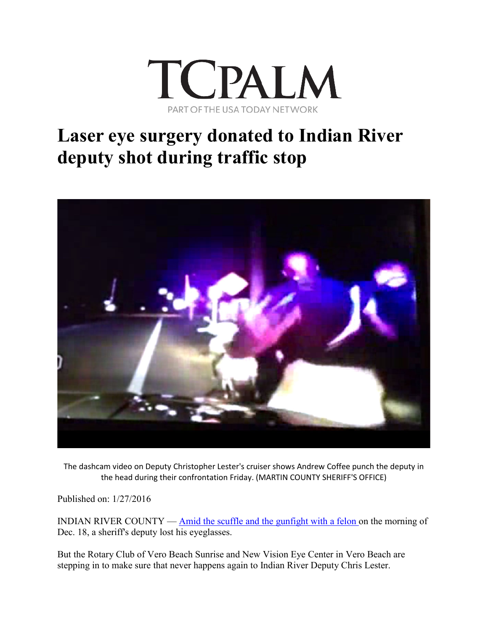

## **Laser eye surgery donated to Indian River deputy shot during traffic stop**



The dashcam video on Deputy Christopher Lester's cruiser shows Andrew Coffee punch the deputy in the head during their confrontation Friday. (MARTIN COUNTY SHERIFF'S OFFICE)

Published on: 1/27/2016

INDIAN RIVER COUNTY — [Amid the scuffle and the gunfight with a felon o](http://archive.tcpalm.com/news/indian-river-county/laser-eye-surgery-donated-to-glasses-wearing-indian-river-deputy-shot-during-traffic-stop-2a41a71b-3-366679161.html/bit.ly/1m3A7PF)n the morning of Dec. 18, a sheriff's deputy lost his eyeglasses.

But the Rotary Club of Vero Beach Sunrise and New Vision Eye Center in Vero Beach are stepping in to make sure that never happens again to Indian River Deputy Chris Lester.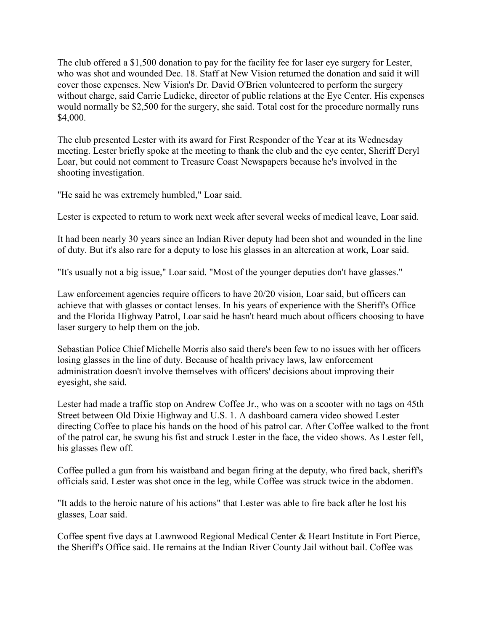The club offered a \$1,500 donation to pay for the facility fee for laser eye surgery for Lester, who was shot and wounded Dec. 18. Staff at New Vision returned the donation and said it will cover those expenses. New Vision's Dr. David O'Brien volunteered to perform the surgery without charge, said Carrie Ludicke, director of public relations at the Eye Center. His expenses would normally be \$2,500 for the surgery, she said. Total cost for the procedure normally runs \$4,000.

The club presented Lester with its award for First Responder of the Year at its Wednesday meeting. Lester briefly spoke at the meeting to thank the club and the eye center, Sheriff Deryl Loar, but could not comment to Treasure Coast Newspapers because he's involved in the shooting investigation.

"He said he was extremely humbled," Loar said.

Lester is expected to return to work next week after several weeks of medical leave, Loar said.

It had been nearly 30 years since an Indian River deputy had been shot and wounded in the line of duty. But it's also rare for a deputy to lose his glasses in an altercation at work, Loar said.

"It's usually not a big issue," Loar said. "Most of the younger deputies don't have glasses."

Law enforcement agencies require officers to have 20/20 vision, Loar said, but officers can achieve that with glasses or contact lenses. In his years of experience with the Sheriff's Office and the Florida Highway Patrol, Loar said he hasn't heard much about officers choosing to have laser surgery to help them on the job.

Sebastian Police Chief Michelle Morris also said there's been few to no issues with her officers losing glasses in the line of duty. Because of health privacy laws, law enforcement administration doesn't involve themselves with officers' decisions about improving their eyesight, she said.

Lester had made a traffic stop on Andrew Coffee Jr., who was on a scooter with no tags on 45th Street between Old Dixie Highway and U.S. 1. A dashboard camera video showed Lester directing Coffee to place his hands on the hood of his patrol car. After Coffee walked to the front of the patrol car, he swung his fist and struck Lester in the face, the video shows. As Lester fell, his glasses flew off.

Coffee pulled a gun from his waistband and began firing at the deputy, who fired back, sheriff's officials said. Lester was shot once in the leg, while Coffee was struck twice in the abdomen.

"It adds to the heroic nature of his actions" that Lester was able to fire back after he lost his glasses, Loar said.

Coffee spent five days at Lawnwood Regional Medical Center & Heart Institute in Fort Pierce, the Sheriff's Office said. He remains at the Indian River County Jail without bail. Coffee was